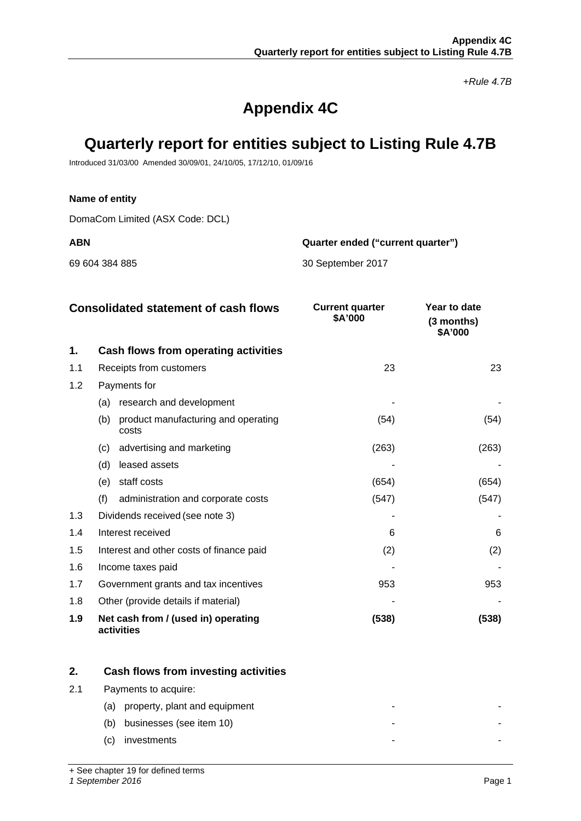*+Rule 4.7B*

# **Appendix 4C**

# **Quarterly report for entities subject to Listing Rule 4.7B**

Introduced 31/03/00 Amended 30/09/01, 24/10/05, 17/12/10, 01/09/16

## **Name of entity**

DomaCom Limited (ASX Code: DCL)

**ABN Quarter ended ("current quarter")**

69 604 384 885 30 September 2017

|     | <b>Consolidated statement of cash flows</b>         | <b>Current quarter</b><br>\$A'000 | Year to date<br>$(3$ months)<br>\$A'000 |
|-----|-----------------------------------------------------|-----------------------------------|-----------------------------------------|
| 1.  | Cash flows from operating activities                |                                   |                                         |
| 1.1 | Receipts from customers                             | 23                                | 23                                      |
| 1.2 | Payments for                                        |                                   |                                         |
|     | research and development<br>(a)                     |                                   |                                         |
|     | (b)<br>product manufacturing and operating<br>costs | (54)                              | (54)                                    |
|     | advertising and marketing<br>(c)                    | (263)                             | (263)                                   |
|     | leased assets<br>(d)                                |                                   |                                         |
|     | staff costs<br>(e)                                  | (654)                             | (654)                                   |
|     | (f)<br>administration and corporate costs           | (547)                             | (547)                                   |
| 1.3 | Dividends received (see note 3)                     |                                   |                                         |
| 1.4 | Interest received                                   | 6                                 | 6                                       |
| 1.5 | Interest and other costs of finance paid            | (2)                               | (2)                                     |
| 1.6 | Income taxes paid                                   |                                   |                                         |
| 1.7 | Government grants and tax incentives                | 953                               | 953                                     |
| 1.8 | Other (provide details if material)                 |                                   |                                         |
| 1.9 | Net cash from / (used in) operating<br>activities   | (538)                             | (538)                                   |

|     | Cash flows from investing activities |  |
|-----|--------------------------------------|--|
| 2.1 | Payments to acquire:                 |  |
|     | property, plant and equipment<br>(a) |  |
|     | businesses (see item 10)<br>(b)      |  |
|     | investments<br>(C)                   |  |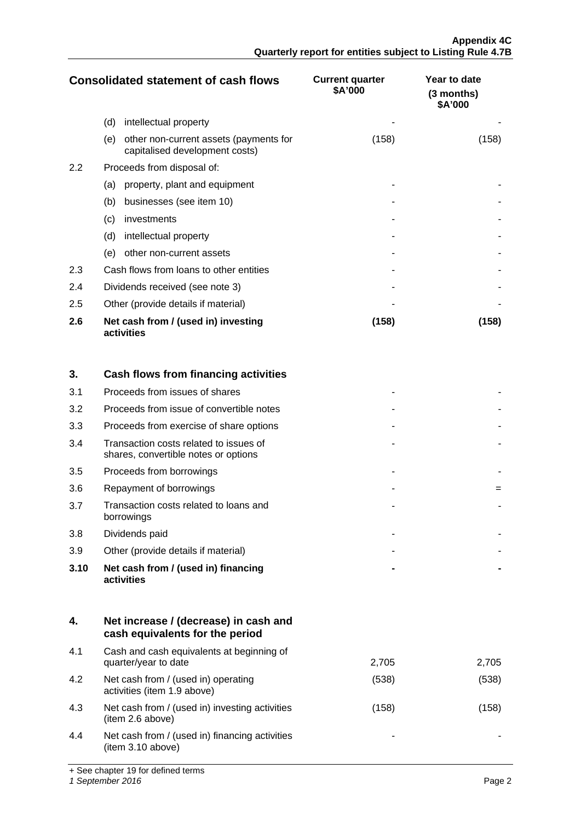|     | <b>Consolidated statement of cash flows</b>                                     | <b>Current quarter</b><br>\$A'000 | Year to date<br>(3 months)<br>\$A'000 |
|-----|---------------------------------------------------------------------------------|-----------------------------------|---------------------------------------|
|     | (d)<br>intellectual property                                                    |                                   |                                       |
|     | other non-current assets (payments for<br>(e)<br>capitalised development costs) | (158)                             | (158)                                 |
| 2.2 | Proceeds from disposal of:                                                      |                                   |                                       |
|     | (a)<br>property, plant and equipment                                            |                                   |                                       |
|     | businesses (see item 10)<br>(b)                                                 |                                   |                                       |
|     | (c)<br>investments                                                              |                                   |                                       |
|     | (d)<br>intellectual property                                                    |                                   |                                       |
|     | other non-current assets<br>(e)                                                 |                                   |                                       |
| 2.3 | Cash flows from loans to other entities                                         |                                   |                                       |
| 2.4 | Dividends received (see note 3)                                                 |                                   |                                       |
| 2.5 | Other (provide details if material)                                             |                                   |                                       |
| 2.6 | Net cash from / (used in) investing<br>activities                               | (158)                             | (158)                                 |

| 3.   | Cash flows from financing activities                                           |  |
|------|--------------------------------------------------------------------------------|--|
| 3.1  | Proceeds from issues of shares                                                 |  |
| 3.2  | Proceeds from issue of convertible notes                                       |  |
| 3.3  | Proceeds from exercise of share options                                        |  |
| 3.4  | Transaction costs related to issues of<br>shares, convertible notes or options |  |
| 3.5  | Proceeds from borrowings                                                       |  |
| 3.6  | Repayment of borrowings                                                        |  |
| 3.7  | Transaction costs related to loans and<br>borrowings                           |  |
| 3.8  | Dividends paid                                                                 |  |
| 3.9  | Other (provide details if material)                                            |  |
| 3.10 | Net cash from / (used in) financing<br>activities                              |  |

| 4.  | Net increase / (decrease) in cash and<br>cash equivalents for the period |       |       |
|-----|--------------------------------------------------------------------------|-------|-------|
| 4.1 | Cash and cash equivalents at beginning of<br>quarter/year to date        | 2,705 | 2,705 |
| 4.2 | Net cash from / (used in) operating<br>activities (item 1.9 above)       | (538) | (538) |
| 4.3 | Net cash from / (used in) investing activities<br>(item 2.6 above)       | (158) | (158) |
| 4.4 | Net cash from / (used in) financing activities<br>(item 3.10 above)      |       |       |

+ See chapter 19 for defined terms

*1 September 2016* Page 2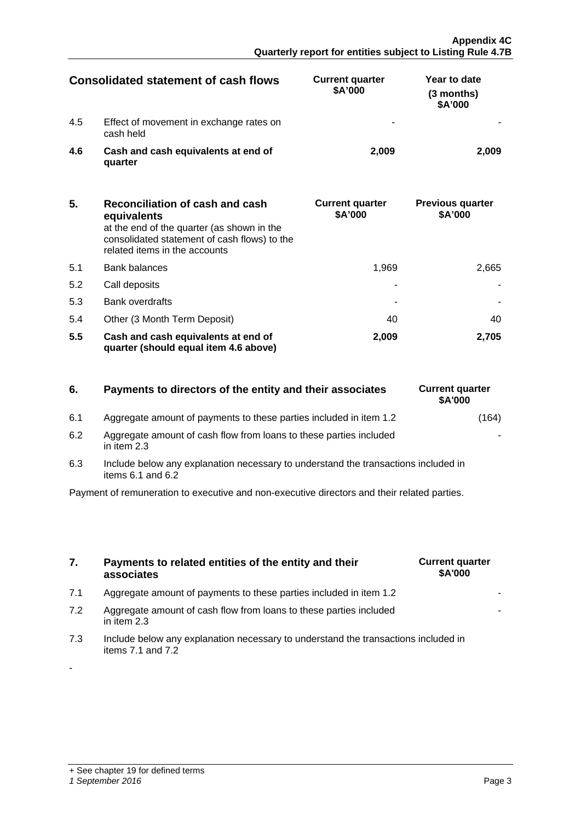-

|     | Consolidated statement of cash flows                 | <b>Current quarter</b><br>\$A'000 | Year to date<br>(3 months)<br>\$A'000 |
|-----|------------------------------------------------------|-----------------------------------|---------------------------------------|
| 4.5 | Effect of movement in exchange rates on<br>cash held |                                   |                                       |
| 4.6 | Cash and cash equivalents at end of<br>quarter       | 2.009                             |                                       |

| 5.  | Reconciliation of cash and cash<br>equivalents<br>at the end of the quarter (as shown in the<br>consolidated statement of cash flows) to the<br>related items in the accounts | <b>Current quarter</b><br>\$A'000 | <b>Previous quarter</b><br>\$A'000 |
|-----|-------------------------------------------------------------------------------------------------------------------------------------------------------------------------------|-----------------------------------|------------------------------------|
| 5.1 | <b>Bank balances</b>                                                                                                                                                          | 1.969                             | 2.665                              |
| 5.2 | Call deposits                                                                                                                                                                 |                                   |                                    |
| 5.3 | <b>Bank overdrafts</b>                                                                                                                                                        |                                   |                                    |
| 5.4 | Other (3 Month Term Deposit)                                                                                                                                                  | 40                                |                                    |
| 5.5 | Cash and cash equivalents at end of<br>quarter (should equal item 4.6 above)                                                                                                  | 2.009                             | 2.705                              |

# **6.** Payments to directors of the entity and their associates

- 6.1 Aggregate amount of payments to these parties included in item 1.2
- 6.2 Aggregate amount of cash flow from loans to these parties included in item 2.3
- 6.3 Include below any explanation necessary to understand the transactions included in items  $6.1$  and  $6.2$

Payment of remuneration to executive and non-executive directors and their related parties.

- **7. Payments to related entities of the entity and their associates**
- 7.1 Aggregate amount of payments to these parties included in item 1.2
- 7.2 Aggregate amount of cash flow from loans to these parties included in item 2.3
- 7.3 Include below any explanation necessary to understand the transactions included in items 7.1 and 7.2

| <b>Current quarter</b><br>\$A'000 |  |
|-----------------------------------|--|
|                                   |  |
|                                   |  |

| <b>Current quarter</b><br>\$A'000 |       |
|-----------------------------------|-------|
|                                   | (164) |
|                                   |       |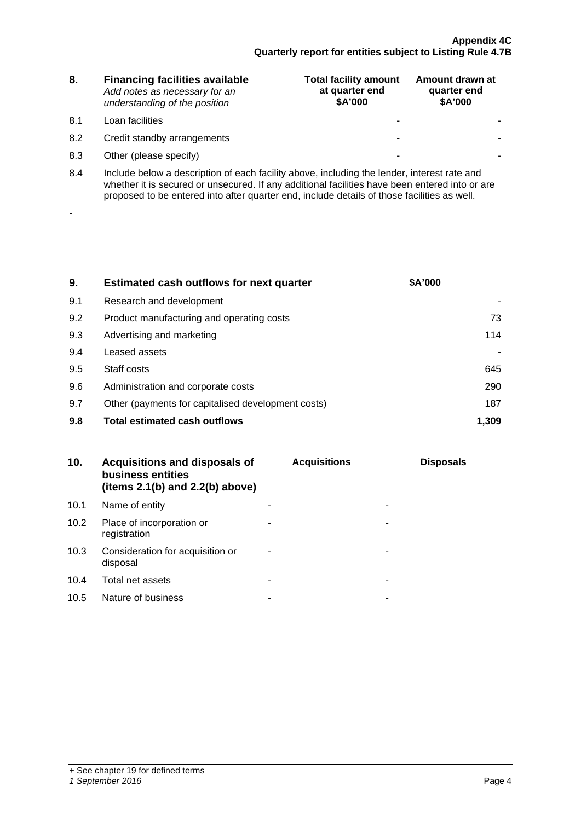| 8. | <b>Financing facilities available</b> |
|----|---------------------------------------|
|    | Add notes as necessary for an         |
|    | understanding of the position         |

8.1 Loan facilities

-

- 8.2 Credit standby arrangements
- 8.3 Other (please specify)

| <b>Total facility amount</b><br>at quarter end<br>\$A'000 | Amount drawn at<br>quarter end<br>\$A'000 |
|-----------------------------------------------------------|-------------------------------------------|
|                                                           |                                           |
|                                                           |                                           |
|                                                           |                                           |

8.4 Include below a description of each facility above, including the lender, interest rate and whether it is secured or unsecured. If any additional facilities have been entered into or are proposed to be entered into after quarter end, include details of those facilities as well.

| 9.  | <b>Estimated cash outflows for next quarter</b>    | <b>\$A'000</b> |
|-----|----------------------------------------------------|----------------|
| 9.1 | Research and development                           |                |
| 9.2 | Product manufacturing and operating costs          | 73.            |
| 9.3 | Advertising and marketing                          | 114            |
| 9.4 | Leased assets                                      |                |
| 9.5 | Staff costs                                        | 645            |
| 9.6 | Administration and corporate costs                 | 290            |
| 9.7 | Other (payments for capitalised development costs) | 187            |
| 9.8 | <b>Total estimated cash outflows</b>               |                |

| 10.  | <b>Acquisitions and disposals of</b><br>business entities<br>(items $2.1(b)$ and $2.2(b)$ above) | <b>Acquisitions</b> | <b>Disposals</b> |
|------|--------------------------------------------------------------------------------------------------|---------------------|------------------|
| 10.1 | Name of entity                                                                                   |                     |                  |
| 10.2 | Place of incorporation or<br>registration                                                        |                     |                  |
| 10.3 | Consideration for acquisition or<br>disposal                                                     |                     |                  |
| 10.4 | Total net assets                                                                                 |                     |                  |
| 10.5 | Nature of business                                                                               |                     |                  |